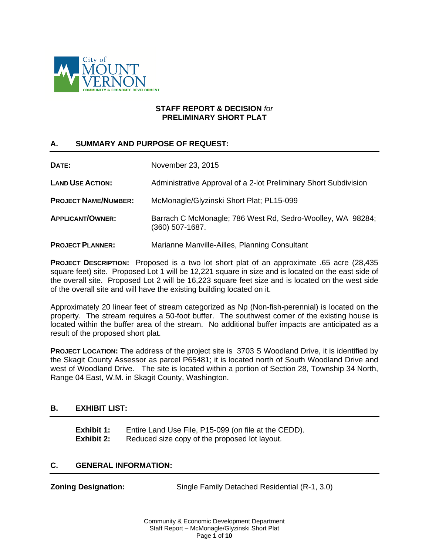

#### **STAFF REPORT & DECISION** *for* **PRELIMINARY SHORT PLAT**

# **A. SUMMARY AND PURPOSE OF REQUEST:**

| DATE:                       | November 23, 2015                                                               |
|-----------------------------|---------------------------------------------------------------------------------|
| <b>LAND USE ACTION:</b>     | Administrative Approval of a 2-lot Preliminary Short Subdivision                |
| <b>PROJECT NAME/NUMBER:</b> | McMonagle/Glyzinski Short Plat; PL15-099                                        |
| <b>APPLICANT/OWNER:</b>     | Barrach C McMonagle; 786 West Rd, Sedro-Woolley, WA 98284;<br>$(360)$ 507-1687. |
| <b>PROJECT PLANNER:</b>     | Marianne Manville-Ailles, Planning Consultant                                   |

**PROJECT DESCRIPTION:** Proposed is a two lot short plat of an approximate .65 acre (28,435 square feet) site. Proposed Lot 1 will be 12,221 square in size and is located on the east side of the overall site. Proposed Lot 2 will be 16,223 square feet size and is located on the west side of the overall site and will have the existing building located on it.

Approximately 20 linear feet of stream categorized as Np (Non-fish-perennial) is located on the property. The stream requires a 50-foot buffer. The southwest corner of the existing house is located within the buffer area of the stream. No additional buffer impacts are anticipated as a result of the proposed short plat.

**PROJECT LOCATION:** The address of the project site is 3703 S Woodland Drive, it is identified by the Skagit County Assessor as parcel P65481; it is located north of South Woodland Drive and west of Woodland Drive. The site is located within a portion of Section 28, Township 34 North, Range 04 East, W.M. in Skagit County, Washington.

### **B. EXHIBIT LIST:**

**Exhibit 1:** Entire Land Use File, P15-099 (on file at the CEDD). **Exhibit 2:** Reduced size copy of the proposed lot layout.

### **C. GENERAL INFORMATION:**

**Zoning Designation:** Single Family Detached Residential (R-1, 3.0)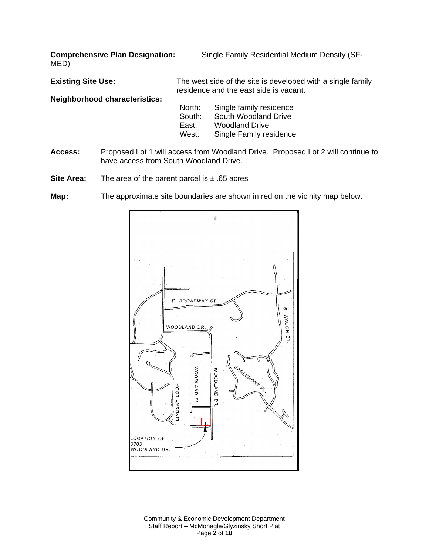MED)

**Comprehensive Plan Designation:** Single Family Residential Medium Density (SF-

**Existing Site Use:** The west side of the site is developed with a single family residence and the east side is vacant. **Neighborhood characteristics:**

| North: | Single family residence |
|--------|-------------------------|
| South: | South Woodland Drive    |
| East:  | <b>Woodland Drive</b>   |
| West:  | Single Family residence |

- **Access:** Proposed Lot 1 will access from Woodland Drive. Proposed Lot 2 will continue to have access from South Woodland Drive.
- **Site Area:** The area of the parent parcel is ± .65 acres
- **Map:** The approximate site boundaries are shown in red on the vicinity map below.



Community & Economic Development Department Staff Report – McMonagle/Glyzinsky Short Plat Page **2** of **10**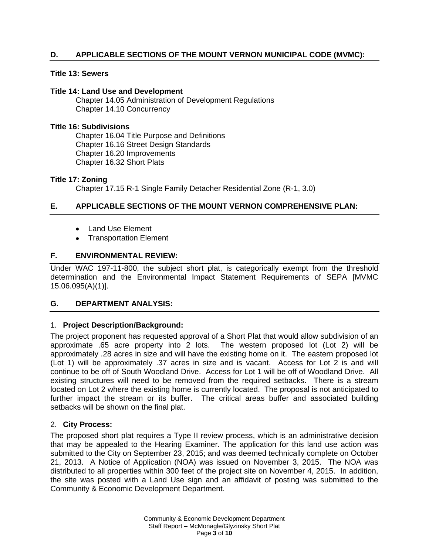# **D. APPLICABLE SECTIONS OF THE MOUNT VERNON MUNICIPAL CODE (MVMC):**

#### **Title 13: Sewers**

#### **Title 14: Land Use and Development**

Chapter 14.05 Administration of Development Regulations Chapter 14.10 Concurrency

#### **Title 16: Subdivisions**

Chapter 16.04 Title Purpose and Definitions Chapter 16.16 Street Design Standards Chapter 16.20 Improvements Chapter 16.32 Short Plats

#### **Title 17: Zoning**

Chapter 17.15 R-1 Single Family Detacher Residential Zone (R-1, 3.0)

# **E. APPLICABLE SECTIONS OF THE MOUNT VERNON COMPREHENSIVE PLAN:**

- Land Use Element
- Transportation Element

### **F. ENVIRONMENTAL REVIEW:**

Under WAC 197-11-800, the subject short plat, is categorically exempt from the threshold determination and the Environmental Impact Statement Requirements of SEPA [MVMC 15.06.095(A)(1)].

#### **G. DEPARTMENT ANALYSIS:**

### 1. **Project Description/Background:**

The project proponent has requested approval of a Short Plat that would allow subdivision of an approximate .65 acre property into 2 lots. The western proposed lot (Lot 2) will be approximately .28 acres in size and will have the existing home on it. The eastern proposed lot (Lot 1) will be approximately .37 acres in size and is vacant. Access for Lot 2 is and will continue to be off of South Woodland Drive. Access for Lot 1 will be off of Woodland Drive. All existing structures will need to be removed from the required setbacks. There is a stream located on Lot 2 where the existing home is currently located. The proposal is not anticipated to further impact the stream or its buffer. The critical areas buffer and associated building setbacks will be shown on the final plat.

#### 2. **City Process:**

The proposed short plat requires a Type II review process, which is an administrative decision that may be appealed to the Hearing Examiner. The application for this land use action was submitted to the City on September 23, 2015; and was deemed technically complete on October 21, 2013. A Notice of Application (NOA) was issued on November 3, 2015. The NOA was distributed to all properties within 300 feet of the project site on November 4, 2015. In addition, the site was posted with a Land Use sign and an affidavit of posting was submitted to the Community & Economic Development Department.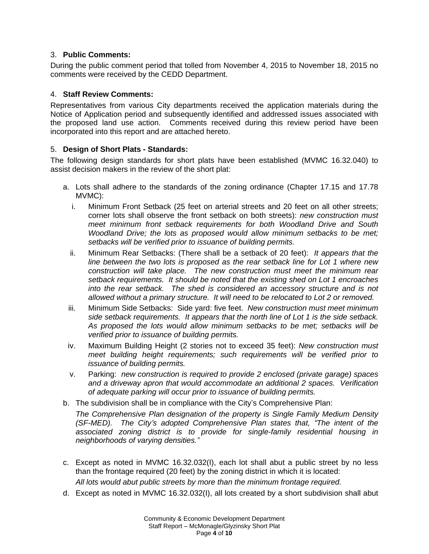# 3. **Public Comments:**

During the public comment period that tolled from November 4, 2015 to November 18, 2015 no comments were received by the CEDD Department.

## 4. **Staff Review Comments:**

Representatives from various City departments received the application materials during the Notice of Application period and subsequently identified and addressed issues associated with the proposed land use action. Comments received during this review period have been incorporated into this report and are attached hereto.

### 5. **Design of Short Plats - Standards:**

The following design standards for short plats have been established (MVMC 16.32.040) to assist decision makers in the review of the short plat:

- a. Lots shall adhere to the standards of the zoning ordinance (Chapter 17.15 and 17.78 MVMC):
	- i. Minimum Front Setback (25 feet on arterial streets and 20 feet on all other streets; corner lots shall observe the front setback on both streets): *new construction must meet minimum front setback requirements for both Woodland Drive and South Woodland Drive; the lots as proposed would allow minimum setbacks to be met; setbacks will be verified prior to issuance of building permits.*
	- ii. Minimum Rear Setbacks: (There shall be a setback of 20 feet): *It appears that the line between the two lots is proposed as the rear setback line for Lot 1 where new construction will take place. The new construction must meet the minimum rear setback requirements. It should be noted that the existing shed on Lot 1 encroaches into the rear setback. The shed is considered an accessory structure and is not allowed without a primary structure. It will need to be relocated to Lot 2 or removed.*
	- iii. Minimum Side Setbacks: Side yard: five feet. *New construction must meet minimum side setback requirements. It appears that the north line of Lot 1 is the side setback. As proposed the lots would allow minimum setbacks to be met; setbacks will be verified prior to issuance of building permits.*
	- iv. Maximum Building Height (2 stories not to exceed 35 feet): *New construction must meet building height requirements; such requirements will be verified prior to issuance of building permits.*
	- v. Parking: *new construction is required to provide 2 enclosed (private garage) spaces and a driveway apron that would accommodate an additional 2 spaces. Verification of adequate parking will occur prior to issuance of building permits.*
- b. The subdivision shall be in compliance with the City's Comprehensive Plan:

*The Comprehensive Plan designation of the property is Single Family Medium Density (SF-MED). The City's adopted Comprehensive Plan states that, "The intent of the associated zoning district is to provide for single-family residential housing in neighborhoods of varying densities."*

c. Except as noted in MVMC 16.32.032(I), each lot shall abut a public street by no less than the frontage required (20 feet) by the zoning district in which it is located:

*All lots would abut public streets by more than the minimum frontage required.*

d. Except as noted in MVMC 16.32.032(I), all lots created by a short subdivision shall abut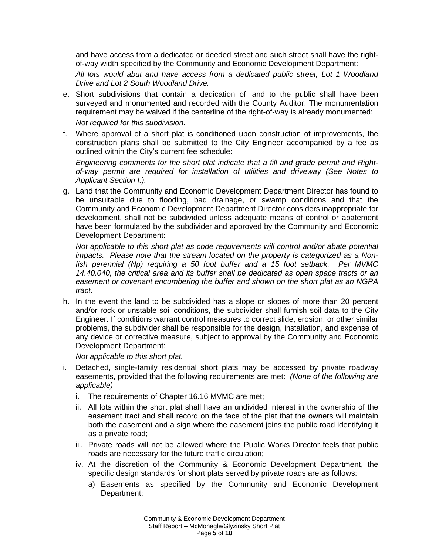and have access from a dedicated or deeded street and such street shall have the rightof-way width specified by the Community and Economic Development Department:

*All lots would abut and have access from a dedicated public street, Lot 1 Woodland Drive and Lot 2 South Woodland Drive.*

e. Short subdivisions that contain a dedication of land to the public shall have been surveyed and monumented and recorded with the County Auditor. The monumentation requirement may be waived if the centerline of the right-of-way is already monumented:

*Not required for this subdivision.*

f. Where approval of a short plat is conditioned upon construction of improvements, the construction plans shall be submitted to the City Engineer accompanied by a fee as outlined within the City's current fee schedule:

*Engineering comments for the short plat indicate that a fill and grade permit and Rightof-way permit are required for installation of utilities and driveway (See Notes to Applicant Section I.).*

g. Land that the Community and Economic Development Department Director has found to be unsuitable due to flooding, bad drainage, or swamp conditions and that the Community and Economic Development Department Director considers inappropriate for development, shall not be subdivided unless adequate means of control or abatement have been formulated by the subdivider and approved by the Community and Economic Development Department:

*Not applicable to this short plat as code requirements will control and/or abate potential impacts. Please note that the stream located on the property is categorized as a Nonfish perennial (Np) requiring a 50 foot buffer and a 15 foot setback. Per MVMC 14.40.040, the critical area and its buffer shall be dedicated as open space tracts or an easement or covenant encumbering the buffer and shown on the short plat as an NGPA tract.* 

h. In the event the land to be subdivided has a slope or slopes of more than 20 percent and/or rock or unstable soil conditions, the subdivider shall furnish soil data to the City Engineer. If conditions warrant control measures to correct slide, erosion, or other similar problems, the subdivider shall be responsible for the design, installation, and expense of any device or corrective measure, subject to approval by the Community and Economic Development Department:

*Not applicable to this short plat.*

- i. Detached, single-family residential short plats may be accessed by private roadway easements, provided that the following requirements are met: *(None of the following are applicable)*
	- i. The requirements of Chapter 16.16 MVMC are met;
	- ii. All lots within the short plat shall have an undivided interest in the ownership of the easement tract and shall record on the face of the plat that the owners will maintain both the easement and a sign where the easement joins the public road identifying it as a private road;
	- iii. Private roads will not be allowed where the Public Works Director feels that public roads are necessary for the future traffic circulation;
	- iv. At the discretion of the Community & Economic Development Department, the specific design standards for short plats served by private roads are as follows:
		- a) Easements as specified by the Community and Economic Development Department;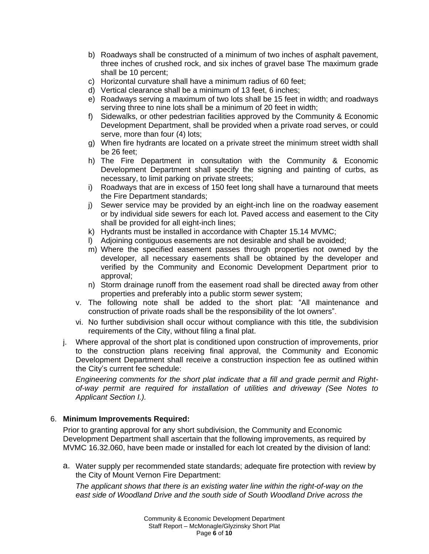- b) Roadways shall be constructed of a minimum of two inches of asphalt pavement, three inches of crushed rock, and six inches of gravel base The maximum grade shall be 10 percent;
- c) Horizontal curvature shall have a minimum radius of 60 feet;
- d) Vertical clearance shall be a minimum of 13 feet, 6 inches;
- e) Roadways serving a maximum of two lots shall be 15 feet in width; and roadways serving three to nine lots shall be a minimum of 20 feet in width;
- f) Sidewalks, or other pedestrian facilities approved by the Community & Economic Development Department, shall be provided when a private road serves, or could serve, more than four (4) lots;
- g) When fire hydrants are located on a private street the minimum street width shall be 26 feet;
- h) The Fire Department in consultation with the Community & Economic Development Department shall specify the signing and painting of curbs, as necessary, to limit parking on private streets;
- i) Roadways that are in excess of 150 feet long shall have a turnaround that meets the Fire Department standards;
- j) Sewer service may be provided by an eight-inch line on the roadway easement or by individual side sewers for each lot. Paved access and easement to the City shall be provided for all eight-inch lines;
- k) Hydrants must be installed in accordance with Chapter 15.14 MVMC;
- l) Adjoining contiguous easements are not desirable and shall be avoided;
- m) Where the specified easement passes through properties not owned by the developer, all necessary easements shall be obtained by the developer and verified by the Community and Economic Development Department prior to approval;
- n) Storm drainage runoff from the easement road shall be directed away from other properties and preferably into a public storm sewer system;
- v. The following note shall be added to the short plat: "All maintenance and construction of private roads shall be the responsibility of the lot owners".
- vi. No further subdivision shall occur without compliance with this title, the subdivision requirements of the City, without filing a final plat.
- j. Where approval of the short plat is conditioned upon construction of improvements, prior to the construction plans receiving final approval, the Community and Economic Development Department shall receive a construction inspection fee as outlined within the City's current fee schedule:

*Engineering comments for the short plat indicate that a fill and grade permit and Rightof-way permit are required for installation of utilities and driveway (See Notes to Applicant Section I.).*

### 6. **Minimum Improvements Required:**

Prior to granting approval for any short subdivision, the Community and Economic Development Department shall ascertain that the following improvements, as required by MVMC 16.32.060, have been made or installed for each lot created by the division of land:

a. Water supply per recommended state standards; adequate fire protection with review by the City of Mount Vernon Fire Department:

*The applicant shows that there is an existing water line within the right-of-way on the east side of Woodland Drive and the south side of South Woodland Drive across the*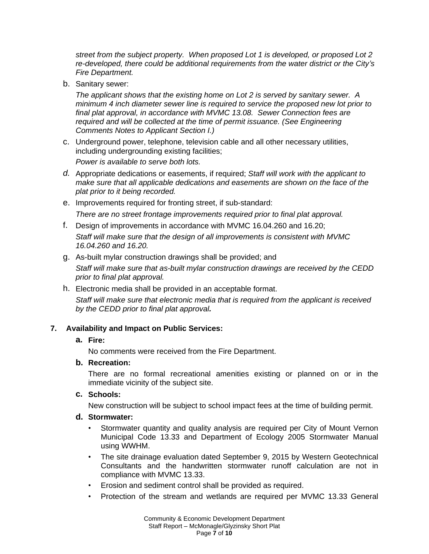*street from the subject property. When proposed Lot 1 is developed, or proposed Lot 2 re-developed, there could be additional requirements from the water district or the City's Fire Department.*

b. Sanitary sewer:

*The applicant shows that the existing home on Lot 2 is served by sanitary sewer. A minimum 4 inch diameter sewer line is required to service the proposed new lot prior to final plat approval, in accordance with MVMC 13.08. Sewer Connection fees are required and will be collected at the time of permit issuance. (See Engineering Comments Notes to Applicant Section I.)*

c. Underground power, telephone, television cable and all other necessary utilities, including undergrounding existing facilities;

*Power is available to serve both lots.*

- *d.* Appropriate dedications or easements, if required; *Staff will work with the applicant to make sure that all applicable dedications and easements are shown on the face of the plat prior to it being recorded.*
- e. Improvements required for fronting street, if sub-standard: *There are no street frontage improvements required prior to final plat approval.*
- f. Design of improvements in accordance with MVMC 16.04.260 and 16.20;

*Staff will make sure that the design of all improvements is consistent with MVMC 16.04.260 and 16.20.*

g. As-built mylar construction drawings shall be provided; and

*Staff will make sure that as-built mylar construction drawings are received by the CEDD prior to final plat approval.* 

h. Electronic media shall be provided in an acceptable format. *Staff will make sure that electronic media that is required from the applicant is received by the CEDD prior to final plat approval.*

# **7. Availability and Impact on Public Services:**

**a. Fire:**

No comments were received from the Fire Department.

### **b. Recreation:**

There are no formal recreational amenities existing or planned on or in the immediate vicinity of the subject site.

### **c. Schools:**

New construction will be subject to school impact fees at the time of building permit.

#### **d. Stormwater:**

- Stormwater quantity and quality analysis are required per City of Mount Vernon Municipal Code 13.33 and Department of Ecology 2005 Stormwater Manual using WWHM.
- The site drainage evaluation dated September 9, 2015 by Western Geotechnical Consultants and the handwritten stormwater runoff calculation are not in compliance with MVMC 13.33.
- Erosion and sediment control shall be provided as required.
- Protection of the stream and wetlands are required per MVMC 13.33 General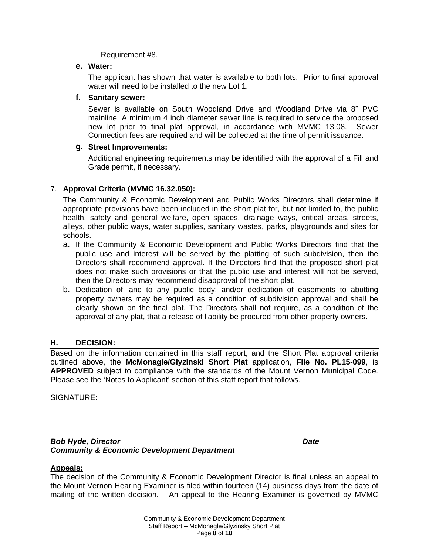Requirement #8.

### **e. Water:**

The applicant has shown that water is available to both lots. Prior to final approval water will need to be installed to the new Lot 1.

### **f. Sanitary sewer:**

Sewer is available on South Woodland Drive and Woodland Drive via 8" PVC mainline. A minimum 4 inch diameter sewer line is required to service the proposed new lot prior to final plat approval, in accordance with MVMC 13.08. Sewer Connection fees are required and will be collected at the time of permit issuance.

### **g. Street Improvements:**

Additional engineering requirements may be identified with the approval of a Fill and Grade permit, if necessary.

# 7. **Approval Criteria (MVMC 16.32.050):**

The Community & Economic Development and Public Works Directors shall determine if appropriate provisions have been included in the short plat for, but not limited to, the public health, safety and general welfare, open spaces, drainage ways, critical areas, streets, alleys, other public ways, water supplies, sanitary wastes, parks, playgrounds and sites for schools.

- a. If the Community & Economic Development and Public Works Directors find that the public use and interest will be served by the platting of such subdivision, then the Directors shall recommend approval. If the Directors find that the proposed short plat does not make such provisions or that the public use and interest will not be served, then the Directors may recommend disapproval of the short plat.
- b. Dedication of land to any public body; and/or dedication of easements to abutting property owners may be required as a condition of subdivision approval and shall be clearly shown on the final plat. The Directors shall not require, as a condition of the approval of any plat, that a release of liability be procured from other property owners.

### **H. DECISION:**

Based on the information contained in this staff report, and the Short Plat approval criteria outlined above, the **McMonagle/Glyzinski Short Plat** application, **File No. PL15-099**, is **APPROVED** subject to compliance with the standards of the Mount Vernon Municipal Code. Please see the 'Notes to Applicant' section of this staff report that follows.

SIGNATURE:

 $\overline{a}$ *Bob Hyde, Director Date Community & Economic Development Department*

### **Appeals:**

The decision of the Community & Economic Development Director is final unless an appeal to the Mount Vernon Hearing Examiner is filed within fourteen (14) business days from the date of mailing of the written decision. An appeal to the Hearing Examiner is governed by MVMC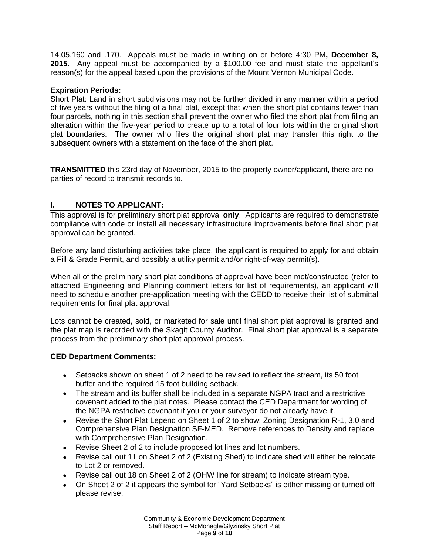14.05.160 and .170. Appeals must be made in writing on or before 4:30 PM**, December 8, 2015.** Any appeal must be accompanied by a \$100.00 fee and must state the appellant's reason(s) for the appeal based upon the provisions of the Mount Vernon Municipal Code.

### **Expiration Periods:**

Short Plat: Land in short subdivisions may not be further divided in any manner within a period of five years without the filing of a final plat, except that when the short plat contains fewer than four parcels, nothing in this section shall prevent the owner who filed the short plat from filing an alteration within the five-year period to create up to a total of four lots within the original short plat boundaries. The owner who files the original short plat may transfer this right to the subsequent owners with a statement on the face of the short plat.

**TRANSMITTED** this 23rd day of November, 2015 to the property owner/applicant, there are no parties of record to transmit records to.

# **I. NOTES TO APPLICANT:**

This approval is for preliminary short plat approval **only**. Applicants are required to demonstrate compliance with code or install all necessary infrastructure improvements before final short plat approval can be granted.

Before any land disturbing activities take place, the applicant is required to apply for and obtain a Fill & Grade Permit, and possibly a utility permit and/or right-of-way permit(s).

When all of the preliminary short plat conditions of approval have been met/constructed (refer to attached Engineering and Planning comment letters for list of requirements), an applicant will need to schedule another pre-application meeting with the CEDD to receive their list of submittal requirements for final plat approval.

Lots cannot be created, sold, or marketed for sale until final short plat approval is granted and the plat map is recorded with the Skagit County Auditor. Final short plat approval is a separate process from the preliminary short plat approval process.

# **CED Department Comments:**

- Setbacks shown on sheet 1 of 2 need to be revised to reflect the stream, its 50 foot buffer and the required 15 foot building setback.
- The stream and its buffer shall be included in a separate NGPA tract and a restrictive covenant added to the plat notes. Please contact the CED Department for wording of the NGPA restrictive covenant if you or your surveyor do not already have it.
- Revise the Short Plat Legend on Sheet 1 of 2 to show: Zoning Designation R-1, 3.0 and Comprehensive Plan Designation SF-MED. Remove references to Density and replace with Comprehensive Plan Designation.
- Revise Sheet 2 of 2 to include proposed lot lines and lot numbers.
- Revise call out 11 on Sheet 2 of 2 (Existing Shed) to indicate shed will either be relocate to Lot 2 or removed.
- Revise call out 18 on Sheet 2 of 2 (OHW line for stream) to indicate stream type.
- On Sheet 2 of 2 it appears the symbol for "Yard Setbacks" is either missing or turned off please revise.